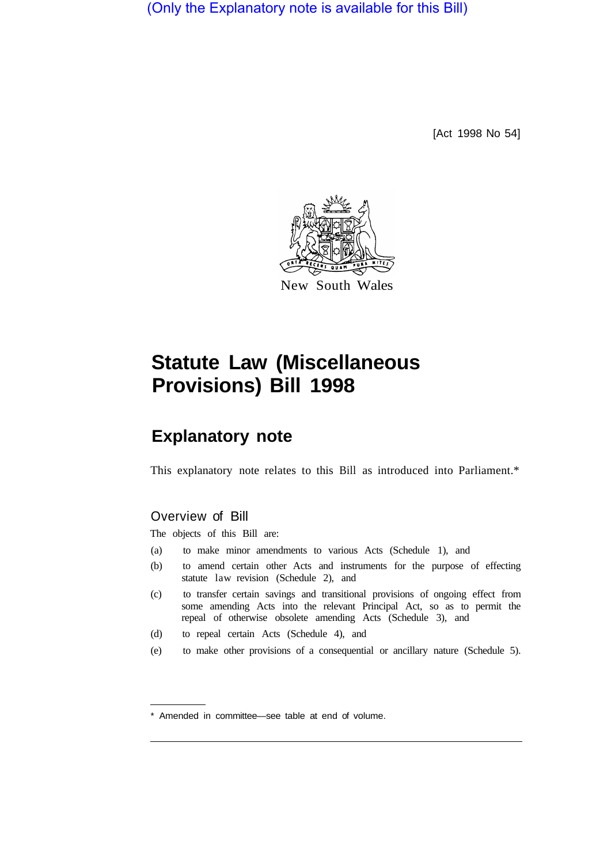(Only the Explanatory note is available for this Bill)

[Act 1998 No 54]



# **Statute Law (Miscellaneous Provisions) Bill 1998**

# **Explanatory note**

This explanatory note relates to this Bill as introduced into Parliament.\*

### Overview of Bill

The objects of this Bill are:

- (a) to make minor amendments to various Acts (Schedule 1), and
- (b) to amend certain other Acts and instruments for the purpose of effecting statute law revision (Schedule 2), and
- (c) to transfer certain savings and transitional provisions of ongoing effect from some amending Acts into the relevant Principal Act, so as to permit the repeal of otherwise obsolete amending Acts (Schedule 3), and
- (d) to repeal certain Acts (Schedule 4), and
- (e) to make other provisions of a consequential or ancillary nature (Schedule 5).

<sup>\*</sup> Amended in committee—see table at end of volume.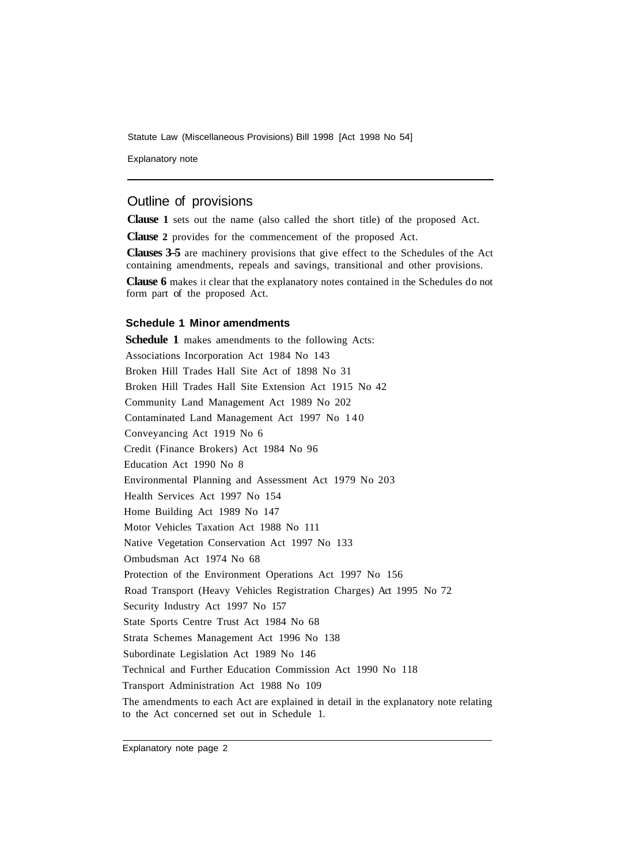Statute Law (Miscellaneous Provisions) Bill 1998 [Act 1998 No 54]

Explanatory note

## Outline of provisions

**Clause 1** sets out the name (also called the short title) of the proposed Act.

**Clause 2** provides for the commencement of the proposed Act.

**Clauses 3–5** are machinery provisions that give effect to the Schedules of the Act containing amendments, repeals and savings, transitional and other provisions.

**Clause 6** makes it clear that the explanatory notes contained in the Schedules do not form part of the proposed Act.

#### **Schedule 1 Minor amendments**

**Schedule 1** makes amendments to the following Acts: Associations Incorporation Act 1984 No 143 Broken Hill Trades Hall Site Act of 1898 No 31 Broken Hill Trades Hall Site Extension Act 1915 No 42 Community Land Management Act 1989 No 202 Contaminated Land Management Act 1997 No 140 Conveyancing Act 1919 No 6 Credit (Finance Brokers) Act 1984 No 96 Education Act 1990 No 8 Environmental Planning and Assessment Act 1979 No 203 Health Services Act 1997 No 154 Home Building Act 1989 No 147 Motor Vehicles Taxation Act 1988 No 111 Native Vegetation Conservation Act 1997 No 133 Ombudsman Act 1974 No 68 Protection of the Environment Operations Act 1997 No 156 Road Transport (Heavy Vehicles Registration Charges) Act 1995 No 72 Security Industry Act 1997 No 157 State Sports Centre Trust Act 1984 No 68 Strata Schemes Management Act 1996 No 138 Subordinate Legislation Act 1989 No 146 Technical and Further Education Commission Act 1990 No 118 Transport Administration Act 1988 No 109 The amendments to each Act are explained in detail in the explanatory note relating to the Act concerned set out in Schedule 1.